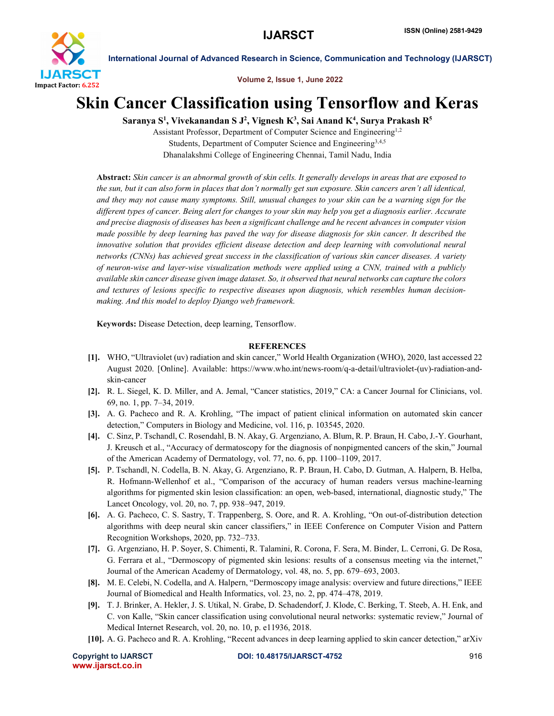

International Journal of Advanced Research in Science, Communication and Technology (IJARSCT)

Volume 2, Issue 1, June 2022

# Skin Cancer Classification using Tensorflow and Keras

Saranya S<sup>1</sup>, Vivekanandan S J<sup>2</sup>, Vignesh K<sup>3</sup>, Sai Anand K<sup>4</sup>, Surya Prakash R<sup>5</sup>

Assistant Professor, Department of Computer Science and Engineering1,2 Students, Department of Computer Science and Engineering<sup>3,4,5</sup> Dhanalakshmi College of Engineering Chennai, Tamil Nadu, India

Abstract: *Skin cancer is an abnormal growth of skin cells. It generally develops in areas that are exposed to the sun, but it can also form in places that don't normally get sun exposure. Skin cancers aren't all identical, and they may not cause many symptoms. Still, unusual changes to your skin can be a warning sign for the different types of cancer. Being alert for changes to your skin may help you get a diagnosis earlier. Accurate and precise diagnosis of diseases has been a significant challenge and he recent advances in computer vision made possible by deep learning has paved the way for disease diagnosis for skin cancer. It described the innovative solution that provides efficient disease detection and deep learning with convolutional neural networks (CNNs) has achieved great success in the classification of various skin cancer diseases. A variety of neuron-wise and layer-wise visualization methods were applied using a CNN, trained with a publicly available skin cancer disease given image dataset. So, it observed that neural networks can capture the colors and textures of lesions specific to respective diseases upon diagnosis, which resembles human decisionmaking. And this model to deploy Django web framework.*

Keywords: Disease Detection, deep learning, Tensorflow.

## **REFERENCES**

- [1]. WHO, "Ultraviolet (uv) radiation and skin cancer," World Health Organization (WHO), 2020, last accessed 22 August 2020. [Online]. Available: https://www.who.int/news-room/q-a-detail/ultraviolet-(uv)-radiation-andskin-cancer
- [2]. R. L. Siegel, K. D. Miller, and A. Jemal, "Cancer statistics, 2019," CA: a Cancer Journal for Clinicians, vol. 69, no. 1, pp. 7–34, 2019.
- [3]. A. G. Pacheco and R. A. Krohling, "The impact of patient clinical information on automated skin cancer detection," Computers in Biology and Medicine, vol. 116, p. 103545, 2020.
- [4]. C. Sinz, P. Tschandl, C. Rosendahl, B. N. Akay, G. Argenziano, A. Blum, R. P. Braun, H. Cabo, J.-Y. Gourhant, J. Kreusch et al., "Accuracy of dermatoscopy for the diagnosis of nonpigmented cancers of the skin," Journal of the American Academy of Dermatology, vol. 77, no. 6, pp. 1100–1109, 2017.
- [5]. P. Tschandl, N. Codella, B. N. Akay, G. Argenziano, R. P. Braun, H. Cabo, D. Gutman, A. Halpern, B. Helba, R. Hofmann-Wellenhof et al., "Comparison of the accuracy of human readers versus machine-learning algorithms for pigmented skin lesion classification: an open, web-based, international, diagnostic study," The Lancet Oncology, vol. 20, no. 7, pp. 938–947, 2019.
- [6]. A. G. Pacheco, C. S. Sastry, T. Trappenberg, S. Oore, and R. A. Krohling, "On out-of-distribution detection algorithms with deep neural skin cancer classifiers," in IEEE Conference on Computer Vision and Pattern Recognition Workshops, 2020, pp. 732–733.
- [7]. G. Argenziano, H. P. Soyer, S. Chimenti, R. Talamini, R. Corona, F. Sera, M. Binder, L. Cerroni, G. De Rosa, G. Ferrara et al., "Dermoscopy of pigmented skin lesions: results of a consensus meeting via the internet," Journal of the American Academy of Dermatology, vol. 48, no. 5, pp. 679–693, 2003.
- [8]. M. E. Celebi, N. Codella, and A. Halpern, "Dermoscopy image analysis: overview and future directions," IEEE Journal of Biomedical and Health Informatics, vol. 23, no. 2, pp. 474–478, 2019.
- [9]. T. J. Brinker, A. Hekler, J. S. Utikal, N. Grabe, D. Schadendorf, J. Klode, C. Berking, T. Steeb, A. H. Enk, and C. von Kalle, "Skin cancer classification using convolutional neural networks: systematic review," Journal of Medical Internet Research, vol. 20, no. 10, p. e11936, 2018.
- [10]. A. G. Pacheco and R. A. Krohling, "Recent advances in deep learning applied to skin cancer detection," arXiv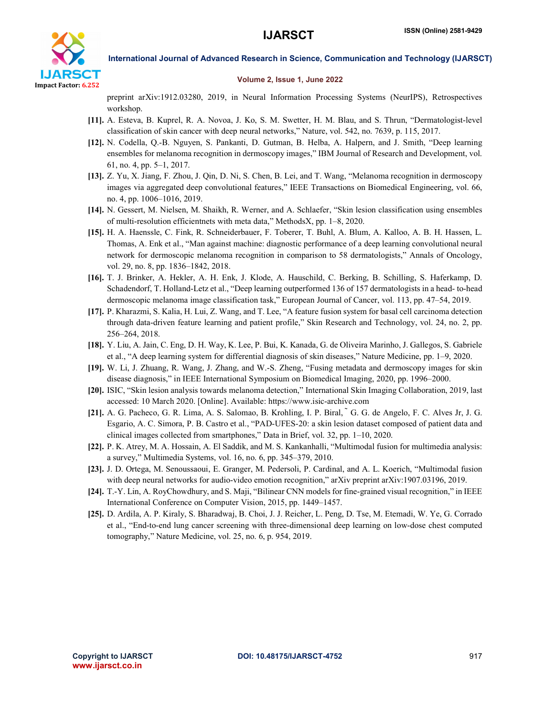

International Journal of Advanced Research in Science, Communication and Technology (IJARSCT)

### Volume 2, Issue 1, June 2022

preprint arXiv:1912.03280, 2019, in Neural Information Processing Systems (NeurIPS), Retrospectives workshop.

- [11]. A. Esteva, B. Kuprel, R. A. Novoa, J. Ko, S. M. Swetter, H. M. Blau, and S. Thrun, "Dermatologist-level classification of skin cancer with deep neural networks," Nature, vol. 542, no. 7639, p. 115, 2017.
- [12]. N. Codella, Q.-B. Nguyen, S. Pankanti, D. Gutman, B. Helba, A. Halpern, and J. Smith, "Deep learning ensembles for melanoma recognition in dermoscopy images," IBM Journal of Research and Development, vol. 61, no. 4, pp. 5–1, 2017.
- [13]. Z. Yu, X. Jiang, F. Zhou, J. Qin, D. Ni, S. Chen, B. Lei, and T. Wang, "Melanoma recognition in dermoscopy images via aggregated deep convolutional features," IEEE Transactions on Biomedical Engineering, vol. 66, no. 4, pp. 1006–1016, 2019.
- [14]. N. Gessert, M. Nielsen, M. Shaikh, R. Werner, and A. Schlaefer, "Skin lesion classification using ensembles of multi-resolution efficientnets with meta data," MethodsX, pp. 1–8, 2020.
- [15]. H. A. Haenssle, C. Fink, R. Schneiderbauer, F. Toberer, T. Buhl, A. Blum, A. Kalloo, A. B. H. Hassen, L. Thomas, A. Enk et al., "Man against machine: diagnostic performance of a deep learning convolutional neural network for dermoscopic melanoma recognition in comparison to 58 dermatologists," Annals of Oncology, vol. 29, no. 8, pp. 1836–1842, 2018.
- [16]. T. J. Brinker, A. Hekler, A. H. Enk, J. Klode, A. Hauschild, C. Berking, B. Schilling, S. Haferkamp, D. Schadendorf, T. Holland-Letz et al., "Deep learning outperformed 136 of 157 dermatologists in a head- to-head dermoscopic melanoma image classification task," European Journal of Cancer, vol. 113, pp. 47–54, 2019.
- [17]. P. Kharazmi, S. Kalia, H. Lui, Z. Wang, and T. Lee, "A feature fusion system for basal cell carcinoma detection through data-driven feature learning and patient profile," Skin Research and Technology, vol. 24, no. 2, pp. 256–264, 2018.
- [18]. Y. Liu, A. Jain, C. Eng, D. H. Way, K. Lee, P. Bui, K. Kanada, G. de Oliveira Marinho, J. Gallegos, S. Gabriele et al., "A deep learning system for differential diagnosis of skin diseases," Nature Medicine, pp. 1–9, 2020.
- [19]. W. Li, J. Zhuang, R. Wang, J. Zhang, and W.-S. Zheng, "Fusing metadata and dermoscopy images for skin disease diagnosis," in IEEE International Symposium on Biomedical Imaging, 2020, pp. 1996–2000.
- [20]. ISIC, "Skin lesion analysis towards melanoma detection," International Skin Imaging Collaboration, 2019, last accessed: 10 March 2020. [Online]. Available: https://www.isic-archive.com
- [21]. A. G. Pacheco, G. R. Lima, A. S. Salomao, B. Krohling, I. P. Biral, ̃ G. G. de Angelo, F. C. Alves Jr, J. G. Esgario, A. C. Simora, P. B. Castro et al., "PAD-UFES-20: a skin lesion dataset composed of patient data and clinical images collected from smartphones," Data in Brief, vol. 32, pp. 1–10, 2020.
- [22]. P. K. Atrey, M. A. Hossain, A. El Saddik, and M. S. Kankanhalli, "Multimodal fusion for multimedia analysis: a survey," Multimedia Systems, vol. 16, no. 6, pp. 345–379, 2010.
- [23]. J. D. Ortega, M. Senoussaoui, E. Granger, M. Pedersoli, P. Cardinal, and A. L. Koerich, "Multimodal fusion with deep neural networks for audio-video emotion recognition," arXiv preprint arXiv:1907.03196, 2019.
- [24]. T.-Y. Lin, A. RoyChowdhury, and S. Maji, "Bilinear CNN models for fine-grained visual recognition," in IEEE International Conference on Computer Vision, 2015, pp. 1449–1457.
- [25]. D. Ardila, A. P. Kiraly, S. Bharadwaj, B. Choi, J. J. Reicher, L. Peng, D. Tse, M. Etemadi, W. Ye, G. Corrado et al., "End-to-end lung cancer screening with three-dimensional deep learning on low-dose chest computed tomography," Nature Medicine, vol. 25, no. 6, p. 954, 2019.